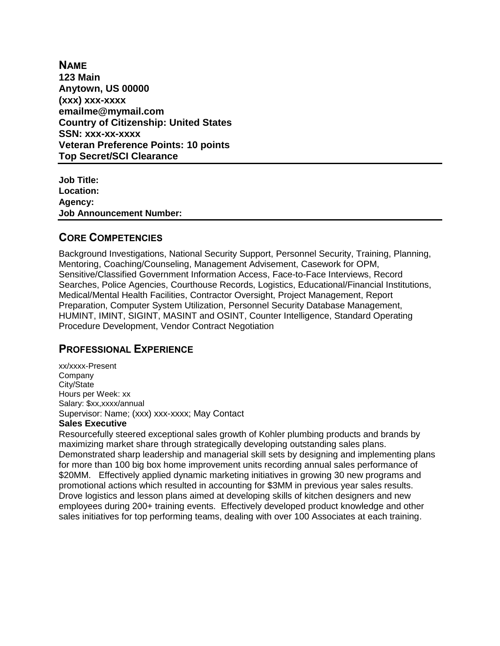**NAME 123 Main Anytown, US 00000 (xxx) xxx-xxxx emailme@mymail.com Country of Citizenship: United States SSN: xxx-xx-xxxx Veteran Preference Points: 10 points Top Secret/SCI Clearance**

**Job Title: Location: Agency: Job Announcement Number:**

## **CORE COMPETENCIES**

Background Investigations, National Security Support, Personnel Security, Training, Planning, Mentoring, Coaching/Counseling, Management Advisement, Casework for OPM, Sensitive/Classified Government Information Access, Face-to-Face Interviews, Record Searches, Police Agencies, Courthouse Records, Logistics, Educational/Financial Institutions, Medical/Mental Health Facilities, Contractor Oversight, Project Management, Report Preparation, Computer System Utilization, Personnel Security Database Management, HUMINT, IMINT, SIGINT, MASINT and OSINT, Counter Intelligence, Standard Operating Procedure Development, Vendor Contract Negotiation

# **PROFESSIONAL EXPERIENCE**

xx/xxxx-Present Company City/State Hours per Week: xx Salary: \$xx,xxxx/annual Supervisor: Name; (xxx) xxx-xxxx; May Contact

### **Sales Executive**

Resourcefully steered exceptional sales growth of Kohler plumbing products and brands by maximizing market share through strategically developing outstanding sales plans. Demonstrated sharp leadership and managerial skill sets by designing and implementing plans for more than 100 big box home improvement units recording annual sales performance of \$20MM. Effectively applied dynamic marketing initiatives in growing 30 new programs and promotional actions which resulted in accounting for \$3MM in previous year sales results. Drove logistics and lesson plans aimed at developing skills of kitchen designers and new employees during 200+ training events. Effectively developed product knowledge and other sales initiatives for top performing teams, dealing with over 100 Associates at each training.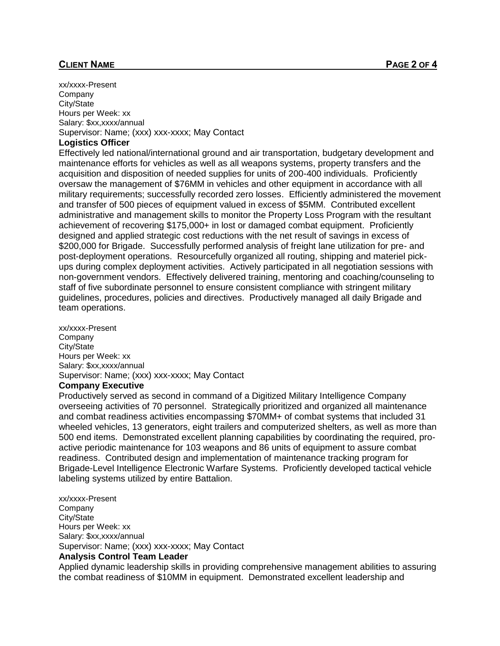#### **CLIENT NAME PAGE 2 OF 4**

xx/xxxx-Present **Company** City/State Hours per Week: xx Salary: \$xx.xxxx/annual Supervisor: Name; (xxx) xxx-xxxx; May Contact

#### **Logistics Officer**

Effectively led national/international ground and air transportation, budgetary development and maintenance efforts for vehicles as well as all weapons systems, property transfers and the acquisition and disposition of needed supplies for units of 200-400 individuals. Proficiently oversaw the management of \$76MM in vehicles and other equipment in accordance with all military requirements; successfully recorded zero losses. Efficiently administered the movement and transfer of 500 pieces of equipment valued in excess of \$5MM. Contributed excellent administrative and management skills to monitor the Property Loss Program with the resultant achievement of recovering \$175,000+ in lost or damaged combat equipment. Proficiently designed and applied strategic cost reductions with the net result of savings in excess of \$200,000 for Brigade. Successfully performed analysis of freight lane utilization for pre- and post-deployment operations. Resourcefully organized all routing, shipping and materiel pickups during complex deployment activities. Actively participated in all negotiation sessions with non-government vendors. Effectively delivered training, mentoring and coaching/counseling to staff of five subordinate personnel to ensure consistent compliance with stringent military guidelines, procedures, policies and directives. Productively managed all daily Brigade and team operations.

xx/xxxx-Present Company City/State Hours per Week: xx Salary: \$xx,xxxx/annual Supervisor: Name; (xxx) xxx-xxxx; May Contact

#### **Company Executive**

Productively served as second in command of a Digitized Military Intelligence Company overseeing activities of 70 personnel. Strategically prioritized and organized all maintenance and combat readiness activities encompassing \$70MM+ of combat systems that included 31 wheeled vehicles, 13 generators, eight trailers and computerized shelters, as well as more than 500 end items. Demonstrated excellent planning capabilities by coordinating the required, proactive periodic maintenance for 103 weapons and 86 units of equipment to assure combat readiness. Contributed design and implementation of maintenance tracking program for Brigade-Level Intelligence Electronic Warfare Systems. Proficiently developed tactical vehicle labeling systems utilized by entire Battalion.

xx/xxxx-Present Company City/State Hours per Week: xx Salary: \$xx,xxxx/annual Supervisor: Name; (xxx) xxx-xxxx; May Contact **Analysis Control Team Leader**

Applied dynamic leadership skills in providing comprehensive management abilities to assuring the combat readiness of \$10MM in equipment. Demonstrated excellent leadership and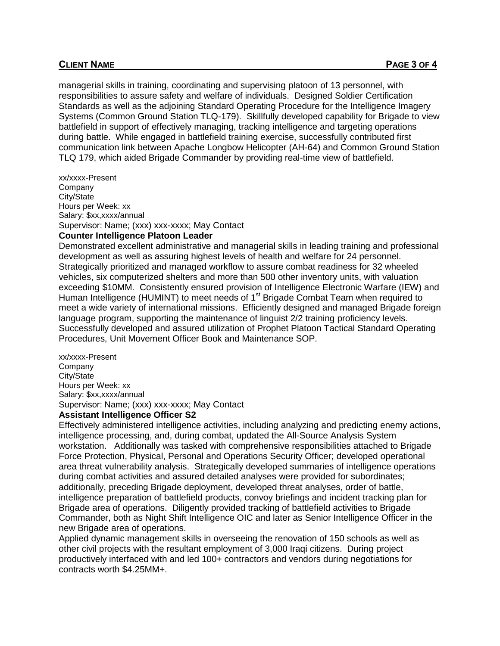#### **CLIENT NAME PAGE 3 OF 4**

managerial skills in training, coordinating and supervising platoon of 13 personnel, with responsibilities to assure safety and welfare of individuals. Designed Soldier Certification Standards as well as the adjoining Standard Operating Procedure for the Intelligence Imagery Systems (Common Ground Station TLQ-179). Skillfully developed capability for Brigade to view battlefield in support of effectively managing, tracking intelligence and targeting operations during battle. While engaged in battlefield training exercise, successfully contributed first communication link between Apache Longbow Helicopter (AH-64) and Common Ground Station TLQ 179, which aided Brigade Commander by providing real-time view of battlefield.

xx/xxxx-Present Company City/State Hours per Week: xx Salary: \$xx,xxxx/annual Supervisor: Name; (xxx) xxx-xxxx; May Contact

### **Counter Intelligence Platoon Leader**

Demonstrated excellent administrative and managerial skills in leading training and professional development as well as assuring highest levels of health and welfare for 24 personnel. Strategically prioritized and managed workflow to assure combat readiness for 32 wheeled vehicles, six computerized shelters and more than 500 other inventory units, with valuation exceeding \$10MM. Consistently ensured provision of Intelligence Electronic Warfare (IEW) and Human Intelligence (HUMINT) to meet needs of 1<sup>st</sup> Brigade Combat Team when required to meet a wide variety of international missions. Efficiently designed and managed Brigade foreign language program, supporting the maintenance of linguist 2/2 training proficiency levels. Successfully developed and assured utilization of Prophet Platoon Tactical Standard Operating Procedures, Unit Movement Officer Book and Maintenance SOP.

xx/xxxx-Present Company City/State Hours per Week: xx Salary: \$xx,xxxx/annual Supervisor: Name; (xxx) xxx-xxxx; May Contact

#### **Assistant Intelligence Officer S2**

Effectively administered intelligence activities, including analyzing and predicting enemy actions, intelligence processing, and, during combat, updated the All-Source Analysis System workstation. Additionally was tasked with comprehensive responsibilities attached to Brigade Force Protection, Physical, Personal and Operations Security Officer; developed operational area threat vulnerability analysis. Strategically developed summaries of intelligence operations during combat activities and assured detailed analyses were provided for subordinates; additionally, preceding Brigade deployment, developed threat analyses, order of battle, intelligence preparation of battlefield products, convoy briefings and incident tracking plan for Brigade area of operations. Diligently provided tracking of battlefield activities to Brigade Commander, both as Night Shift Intelligence OIC and later as Senior Intelligence Officer in the new Brigade area of operations.

Applied dynamic management skills in overseeing the renovation of 150 schools as well as other civil projects with the resultant employment of 3,000 Iraqi citizens. During project productively interfaced with and led 100+ contractors and vendors during negotiations for contracts worth \$4.25MM+.